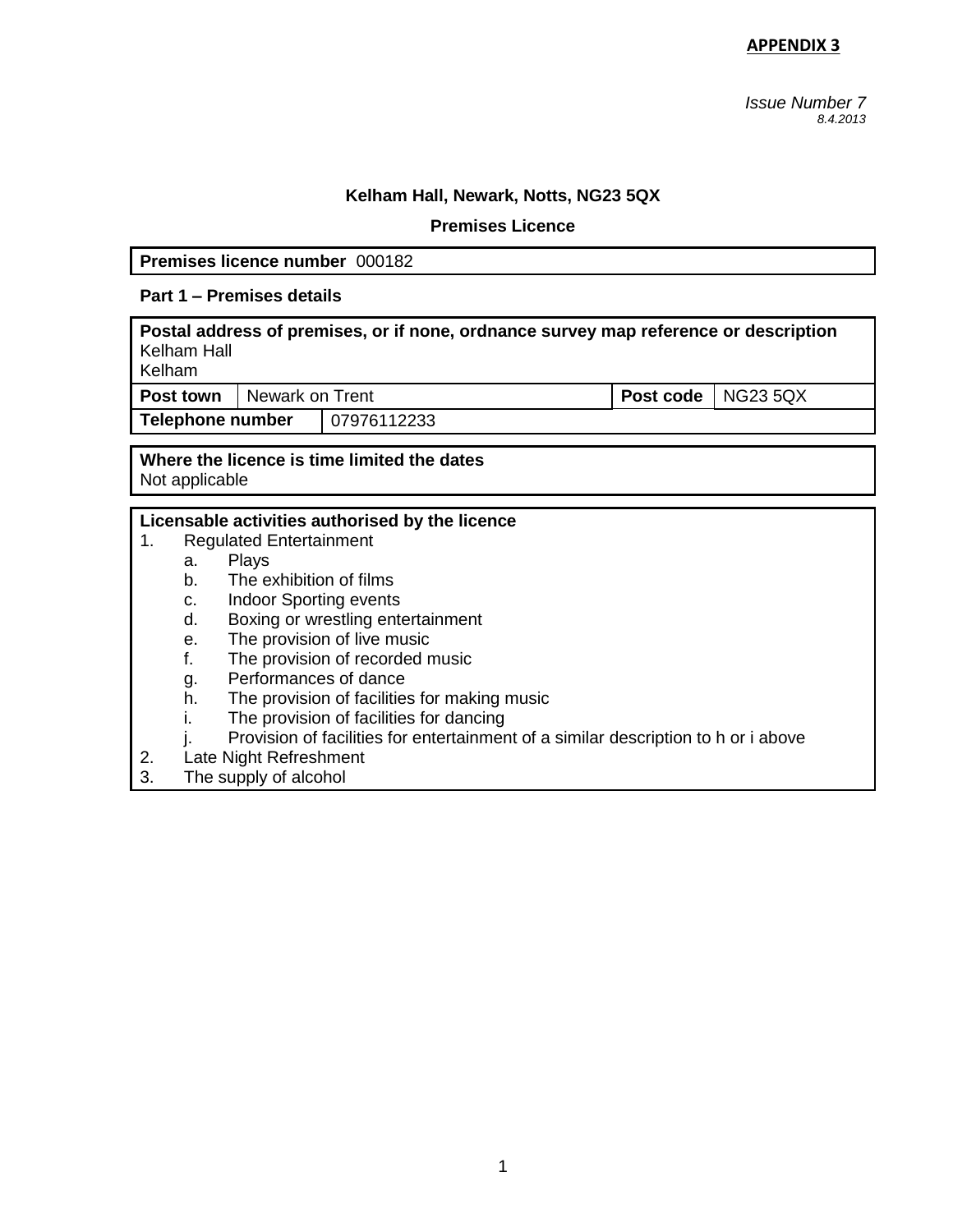*Issue Number 7 8.4.2013* 

## **Kelham Hall, Newark, Notts, NG23 5QX**

#### **Premises Licence**

**Premises licence number** 000182

# **Part 1 – Premises details**

| Postal address of premises, or if none, ordnance survey map reference or description<br>Kelham Hall<br>Kelham |                 |             |                             |  |  |
|---------------------------------------------------------------------------------------------------------------|-----------------|-------------|-----------------------------|--|--|
| Post town                                                                                                     | Newark on Trent |             | <b>Post code</b>   NG23 5QX |  |  |
| Telephone number                                                                                              |                 | 07976112233 |                             |  |  |
|                                                                                                               |                 |             |                             |  |  |

### **Where the licence is time limited the dates** Not applicable

### **Licensable activities authorised by the licence**

- 1. Regulated Entertainment
	- a. Plays
	- b. The exhibition of films
	- c. Indoor Sporting events
	- d. Boxing or wrestling entertainment
	- e. The provision of live music
	- f. The provision of recorded music
	- g. Performances of dance
	- h. The provision of facilities for making music
	- i. The provision of facilities for dancing
	- j. Provision of facilities for entertainment of a similar description to h or i above
- 2. Late Night Refreshment
- 3. The supply of alcohol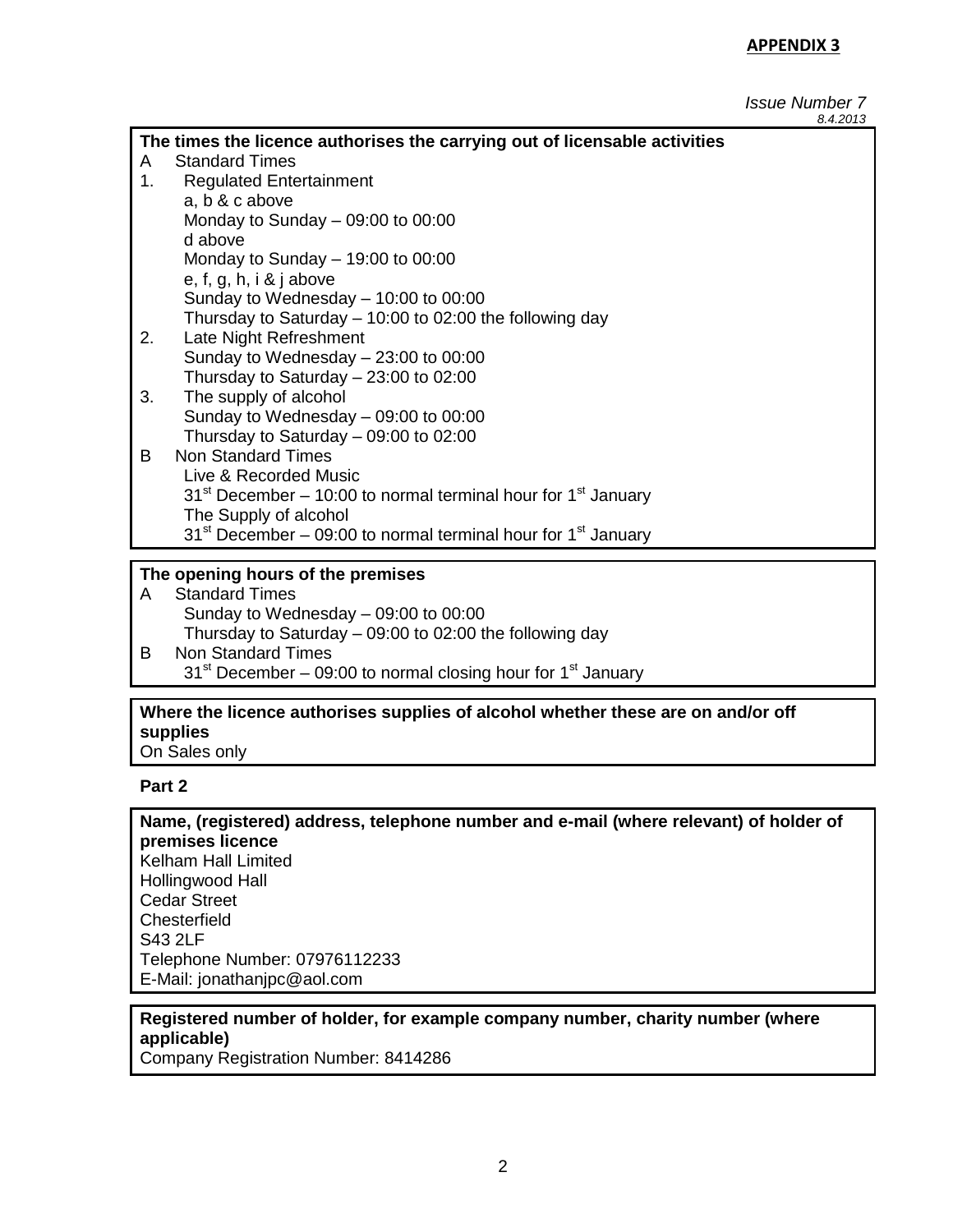#### *Issue Number 7 8.4.2013*

|                                                                            |                                                                             | 0. T. L U I J |  |  |
|----------------------------------------------------------------------------|-----------------------------------------------------------------------------|---------------|--|--|
| The times the licence authorises the carrying out of licensable activities |                                                                             |               |  |  |
| A                                                                          | <b>Standard Times</b>                                                       |               |  |  |
| 1.                                                                         | <b>Regulated Entertainment</b>                                              |               |  |  |
|                                                                            | a, b & c above                                                              |               |  |  |
|                                                                            | Monday to Sunday $-$ 09:00 to 00:00                                         |               |  |  |
|                                                                            | d above                                                                     |               |  |  |
|                                                                            | Monday to Sunday $-$ 19:00 to 00:00                                         |               |  |  |
|                                                                            | e, f, g, h, i & j above                                                     |               |  |  |
|                                                                            | Sunday to Wednesday $-$ 10:00 to 00:00                                      |               |  |  |
|                                                                            | Thursday to Saturday – 10:00 to 02:00 the following day                     |               |  |  |
| 2.                                                                         | Late Night Refreshment                                                      |               |  |  |
|                                                                            | Sunday to Wednesday $-23:00$ to 00:00                                       |               |  |  |
|                                                                            | Thursday to Saturday $-23:00$ to 02:00                                      |               |  |  |
| 3.                                                                         | The supply of alcohol                                                       |               |  |  |
|                                                                            | Sunday to Wednesday $-$ 09:00 to 00:00                                      |               |  |  |
|                                                                            | Thursday to Saturday - 09:00 to 02:00                                       |               |  |  |
| B.                                                                         | <b>Non Standard Times</b>                                                   |               |  |  |
|                                                                            | Live & Recorded Music                                                       |               |  |  |
|                                                                            | $31st$ December – 10:00 to normal terminal hour for 1 <sup>st</sup> January |               |  |  |
|                                                                            | The Supply of alcohol                                                       |               |  |  |
|                                                                            | $31st$ December – 09:00 to normal terminal hour for 1 <sup>st</sup> January |               |  |  |
|                                                                            |                                                                             |               |  |  |

# **The opening hours of the premises**

- A Standard Times Sunday to Wednesday – 09:00 to 00:00 Thursday to Saturday – 09:00 to 02:00 the following day B Non Standard Times
	- $31<sup>st</sup>$  December 09:00 to normal closing hour for 1 $<sup>st</sup>$  January</sup>

# **Where the licence authorises supplies of alcohol whether these are on and/or off supplies**

On Sales only

# **Part 2**

**Name, (registered) address, telephone number and e-mail (where relevant) of holder of premises licence** Kelham Hall Limited Hollingwood Hall Cedar Street **Chesterfield** S43 2LF Telephone Number: 07976112233 E-Mail: jonathanjpc@aol.com

# **Registered number of holder, for example company number, charity number (where applicable)**

Company Registration Number: 8414286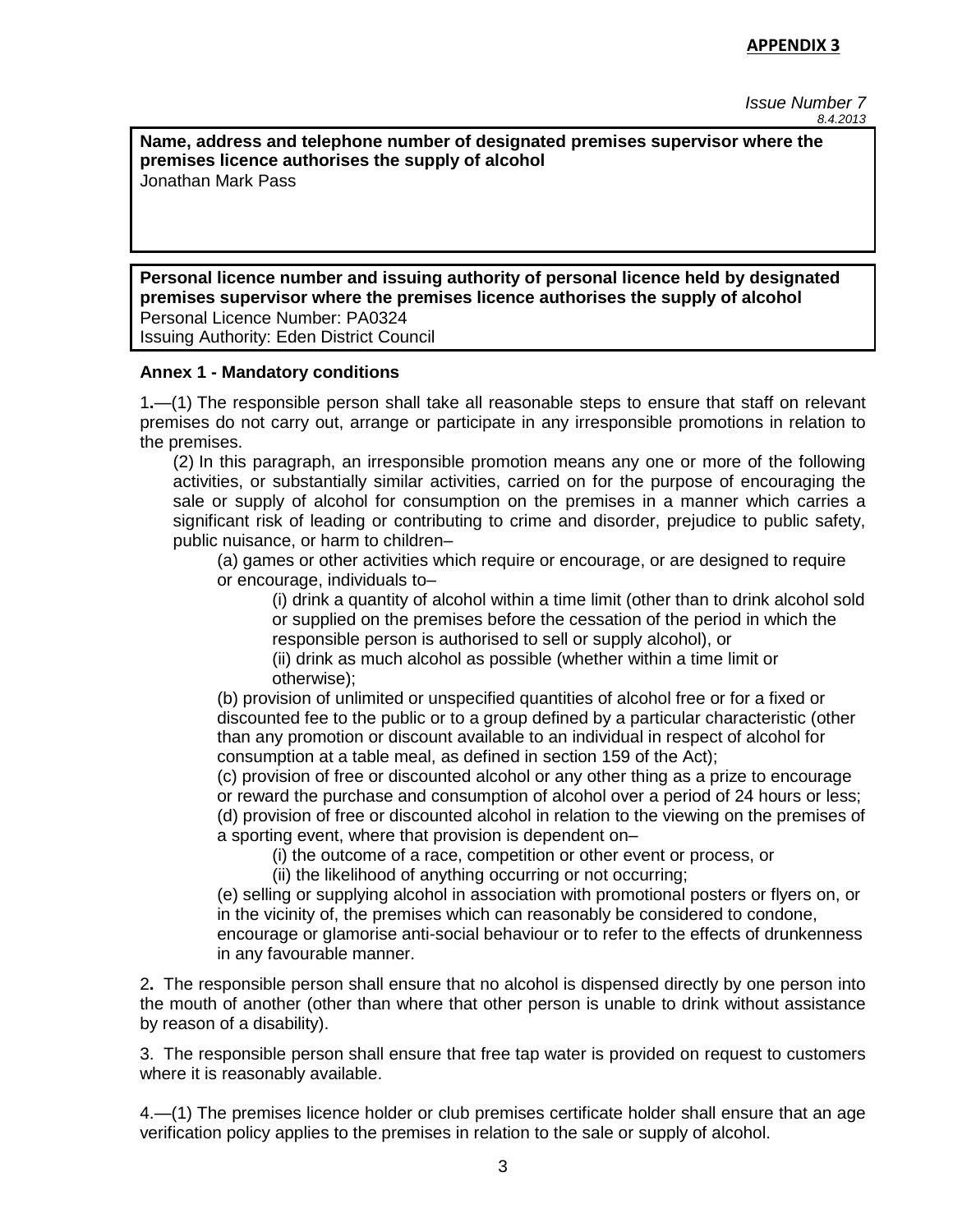*Issue Number 7 8.4.2013* 

**Name, address and telephone number of designated premises supervisor where the premises licence authorises the supply of alcohol** Jonathan Mark Pass

**Personal licence number and issuing authority of personal licence held by designated premises supervisor where the premises licence authorises the supply of alcohol** Personal Licence Number: PA0324 Issuing Authority: Eden District Council

### **Annex 1 - Mandatory conditions**

1**.**—(1) The responsible person shall take all reasonable steps to ensure that staff on relevant premises do not carry out, arrange or participate in any irresponsible promotions in relation to the premises.

(2) In this paragraph, an irresponsible promotion means any one or more of the following activities, or substantially similar activities, carried on for the purpose of encouraging the sale or supply of alcohol for consumption on the premises in a manner which carries a significant risk of leading or contributing to crime and disorder, prejudice to public safety, public nuisance, or harm to children–

(a) games or other activities which require or encourage, or are designed to require or encourage, individuals to–

(i) drink a quantity of alcohol within a time limit (other than to drink alcohol sold or supplied on the premises before the cessation of the period in which the responsible person is authorised to sell or supply alcohol), or

(ii) drink as much alcohol as possible (whether within a time limit or otherwise);

(b) provision of unlimited or unspecified quantities of alcohol free or for a fixed or discounted fee to the public or to a group defined by a particular characteristic (other than any promotion or discount available to an individual in respect of alcohol for consumption at a table meal, as defined in section 159 of the Act);

(c) provision of free or discounted alcohol or any other thing as a prize to encourage or reward the purchase and consumption of alcohol over a period of 24 hours or less; (d) provision of free or discounted alcohol in relation to the viewing on the premises of a sporting event, where that provision is dependent on–

(i) the outcome of a race, competition or other event or process, or

(ii) the likelihood of anything occurring or not occurring;

(e) selling or supplying alcohol in association with promotional posters or flyers on, or in the vicinity of, the premises which can reasonably be considered to condone, encourage or glamorise anti-social behaviour or to refer to the effects of drunkenness in any favourable manner.

2**.** The responsible person shall ensure that no alcohol is dispensed directly by one person into the mouth of another (other than where that other person is unable to drink without assistance by reason of a disability).

3. The responsible person shall ensure that free tap water is provided on request to customers where it is reasonably available.

4.—(1) The premises licence holder or club premises certificate holder shall ensure that an age verification policy applies to the premises in relation to the sale or supply of alcohol.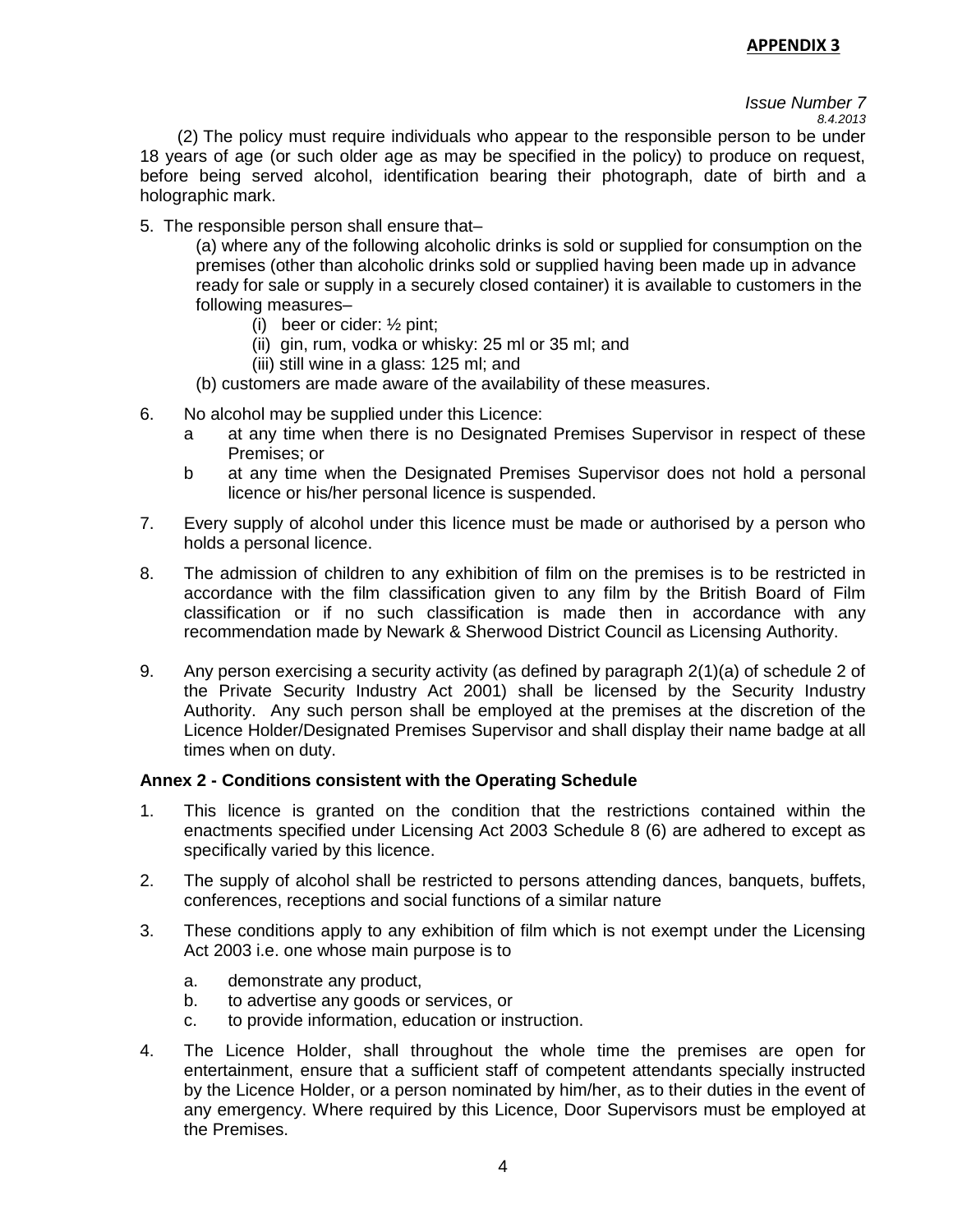#### *Issue Number 7 8.4.2013*

 (2) The policy must require individuals who appear to the responsible person to be under 18 years of age (or such older age as may be specified in the policy) to produce on request, before being served alcohol, identification bearing their photograph, date of birth and a holographic mark.

5. The responsible person shall ensure that–

(a) where any of the following alcoholic drinks is sold or supplied for consumption on the premises (other than alcoholic drinks sold or supplied having been made up in advance ready for sale or supply in a securely closed container) it is available to customers in the following measures–

- (i) beer or cider: ½ pint;
- (ii) gin, rum, vodka or whisky: 25 ml or 35 ml; and
- (iii) still wine in a glass: 125 ml; and
- (b) customers are made aware of the availability of these measures.
- 6. No alcohol may be supplied under this Licence:
	- a at any time when there is no Designated Premises Supervisor in respect of these Premises; or
	- b at any time when the Designated Premises Supervisor does not hold a personal licence or his/her personal licence is suspended.
- 7. Every supply of alcohol under this licence must be made or authorised by a person who holds a personal licence.
- 8. The admission of children to any exhibition of film on the premises is to be restricted in accordance with the film classification given to any film by the British Board of Film classification or if no such classification is made then in accordance with any recommendation made by Newark & Sherwood District Council as Licensing Authority.
- 9. Any person exercising a security activity (as defined by paragraph 2(1)(a) of schedule 2 of the Private Security Industry Act 2001) shall be licensed by the Security Industry Authority. Any such person shall be employed at the premises at the discretion of the Licence Holder/Designated Premises Supervisor and shall display their name badge at all times when on duty.

### **Annex 2 - Conditions consistent with the Operating Schedule**

- 1. This licence is granted on the condition that the restrictions contained within the enactments specified under Licensing Act 2003 Schedule 8 (6) are adhered to except as specifically varied by this licence.
- 2. The supply of alcohol shall be restricted to persons attending dances, banquets, buffets, conferences, receptions and social functions of a similar nature
- 3. These conditions apply to any exhibition of film which is not exempt under the Licensing Act 2003 i.e. one whose main purpose is to
	- a. demonstrate any product,
	- b. to advertise any goods or services, or
	- c. to provide information, education or instruction.
- 4. The Licence Holder, shall throughout the whole time the premises are open for entertainment, ensure that a sufficient staff of competent attendants specially instructed by the Licence Holder, or a person nominated by him/her, as to their duties in the event of any emergency. Where required by this Licence, Door Supervisors must be employed at the Premises.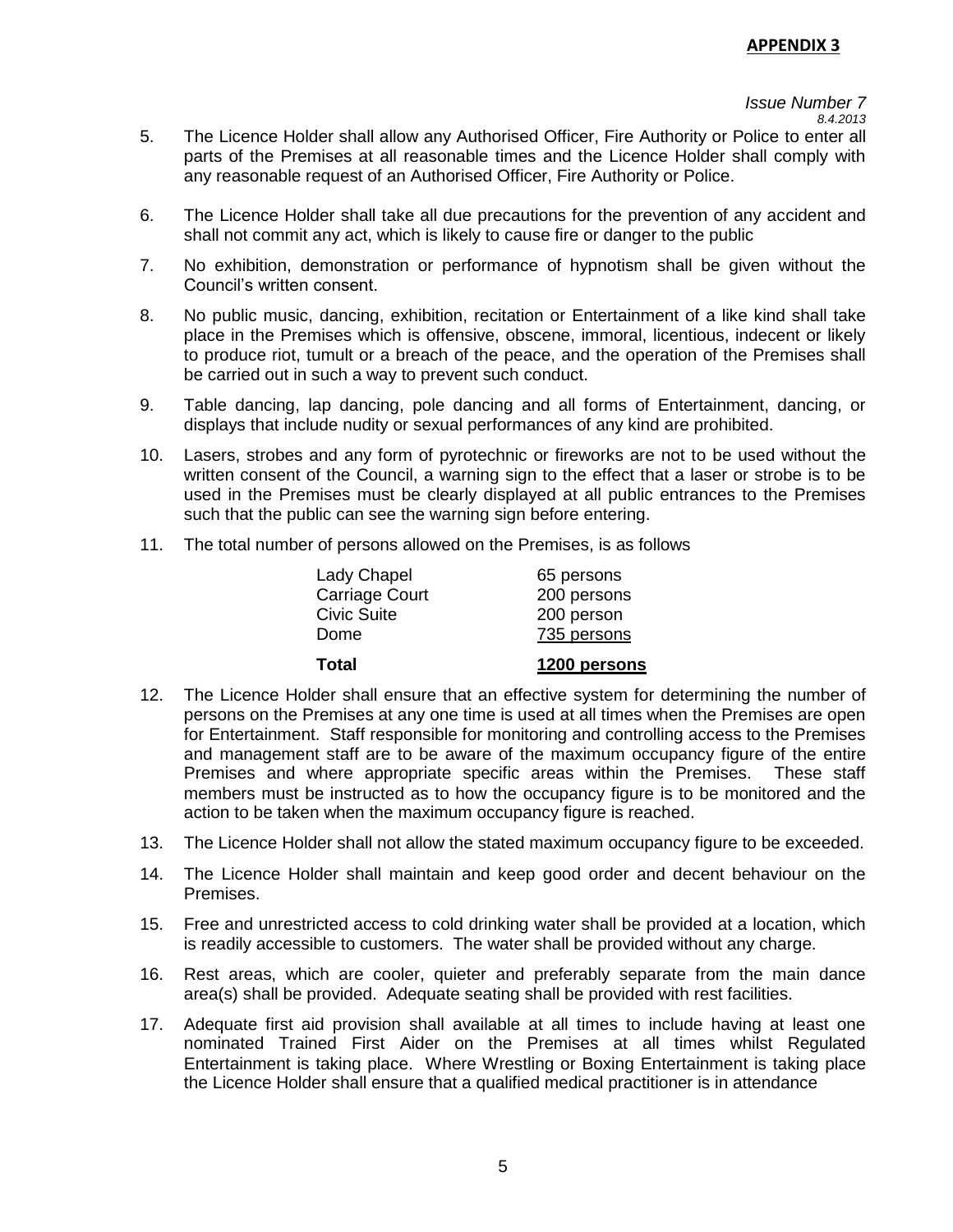# *Issue Number 7*

- 5. The Licence Holder shall allow any Authorised Officer, Fire Authority or Police to enter all parts of the Premises at all reasonable times and the Licence Holder shall comply with any reasonable request of an Authorised Officer, Fire Authority or Police.
- 6. The Licence Holder shall take all due precautions for the prevention of any accident and shall not commit any act, which is likely to cause fire or danger to the public
- 7. No exhibition, demonstration or performance of hypnotism shall be given without the Council's written consent.
- 8. No public music, dancing, exhibition, recitation or Entertainment of a like kind shall take place in the Premises which is offensive, obscene, immoral, licentious, indecent or likely to produce riot, tumult or a breach of the peace, and the operation of the Premises shall be carried out in such a way to prevent such conduct.
- 9. Table dancing, lap dancing, pole dancing and all forms of Entertainment, dancing, or displays that include nudity or sexual performances of any kind are prohibited.
- 10. Lasers, strobes and any form of pyrotechnic or fireworks are not to be used without the written consent of the Council, a warning sign to the effect that a laser or strobe is to be used in the Premises must be clearly displayed at all public entrances to the Premises such that the public can see the warning sign before entering.
- 11. The total number of persons allowed on the Premises, is as follows

| Total                 | 1200 persons |
|-----------------------|--------------|
| Dome                  | 735 persons  |
| <b>Civic Suite</b>    | 200 person   |
| <b>Carriage Court</b> | 200 persons  |
| Lady Chapel           | 65 persons   |

- 12. The Licence Holder shall ensure that an effective system for determining the number of persons on the Premises at any one time is used at all times when the Premises are open for Entertainment. Staff responsible for monitoring and controlling access to the Premises and management staff are to be aware of the maximum occupancy figure of the entire Premises and where appropriate specific areas within the Premises. These staff members must be instructed as to how the occupancy figure is to be monitored and the action to be taken when the maximum occupancy figure is reached.
- 13. The Licence Holder shall not allow the stated maximum occupancy figure to be exceeded.
- 14. The Licence Holder shall maintain and keep good order and decent behaviour on the Premises.
- 15. Free and unrestricted access to cold drinking water shall be provided at a location, which is readily accessible to customers. The water shall be provided without any charge.
- 16. Rest areas, which are cooler, quieter and preferably separate from the main dance area(s) shall be provided. Adequate seating shall be provided with rest facilities.
- 17. Adequate first aid provision shall available at all times to include having at least one nominated Trained First Aider on the Premises at all times whilst Regulated Entertainment is taking place. Where Wrestling or Boxing Entertainment is taking place the Licence Holder shall ensure that a qualified medical practitioner is in attendance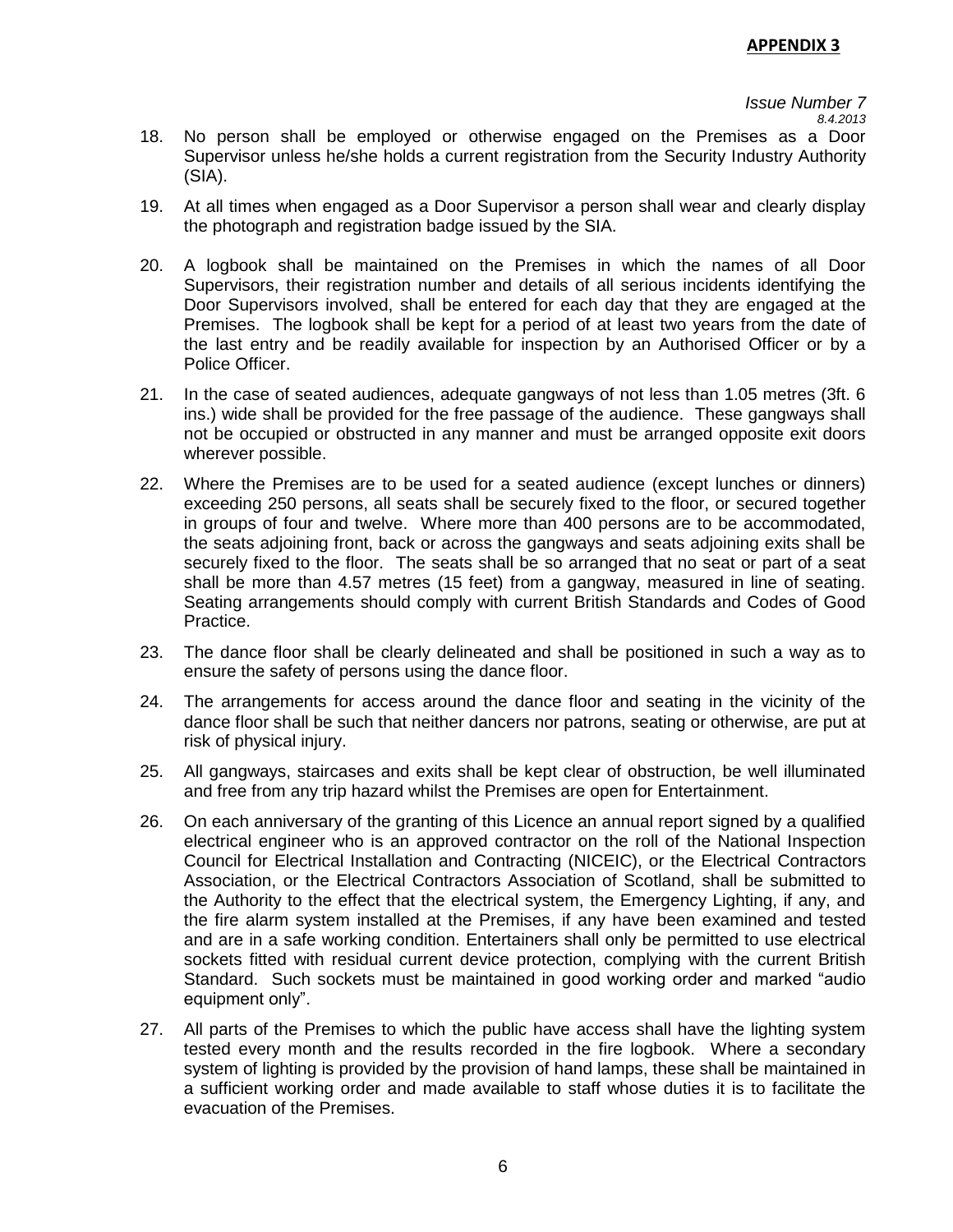# *Issue Number 7*

*8.4.2013* 

- 18. No person shall be employed or otherwise engaged on the Premises as a Door Supervisor unless he/she holds a current registration from the Security Industry Authority (SIA).
- 19. At all times when engaged as a Door Supervisor a person shall wear and clearly display the photograph and registration badge issued by the SIA.
- 20. A logbook shall be maintained on the Premises in which the names of all Door Supervisors, their registration number and details of all serious incidents identifying the Door Supervisors involved, shall be entered for each day that they are engaged at the Premises. The logbook shall be kept for a period of at least two years from the date of the last entry and be readily available for inspection by an Authorised Officer or by a Police Officer.
- 21. In the case of seated audiences, adequate gangways of not less than 1.05 metres (3ft. 6 ins.) wide shall be provided for the free passage of the audience. These gangways shall not be occupied or obstructed in any manner and must be arranged opposite exit doors wherever possible.
- 22. Where the Premises are to be used for a seated audience (except lunches or dinners) exceeding 250 persons, all seats shall be securely fixed to the floor, or secured together in groups of four and twelve. Where more than 400 persons are to be accommodated, the seats adjoining front, back or across the gangways and seats adjoining exits shall be securely fixed to the floor. The seats shall be so arranged that no seat or part of a seat shall be more than 4.57 metres (15 feet) from a gangway, measured in line of seating. Seating arrangements should comply with current British Standards and Codes of Good Practice.
- 23. The dance floor shall be clearly delineated and shall be positioned in such a way as to ensure the safety of persons using the dance floor.
- 24. The arrangements for access around the dance floor and seating in the vicinity of the dance floor shall be such that neither dancers nor patrons, seating or otherwise, are put at risk of physical injury.
- 25. All gangways, staircases and exits shall be kept clear of obstruction, be well illuminated and free from any trip hazard whilst the Premises are open for Entertainment.
- 26. On each anniversary of the granting of this Licence an annual report signed by a qualified electrical engineer who is an approved contractor on the roll of the National Inspection Council for Electrical Installation and Contracting (NICEIC), or the Electrical Contractors Association, or the Electrical Contractors Association of Scotland, shall be submitted to the Authority to the effect that the electrical system, the Emergency Lighting, if any, and the fire alarm system installed at the Premises, if any have been examined and tested and are in a safe working condition. Entertainers shall only be permitted to use electrical sockets fitted with residual current device protection, complying with the current British Standard. Such sockets must be maintained in good working order and marked "audio equipment only".
- 27. All parts of the Premises to which the public have access shall have the lighting system tested every month and the results recorded in the fire logbook. Where a secondary system of lighting is provided by the provision of hand lamps, these shall be maintained in a sufficient working order and made available to staff whose duties it is to facilitate the evacuation of the Premises.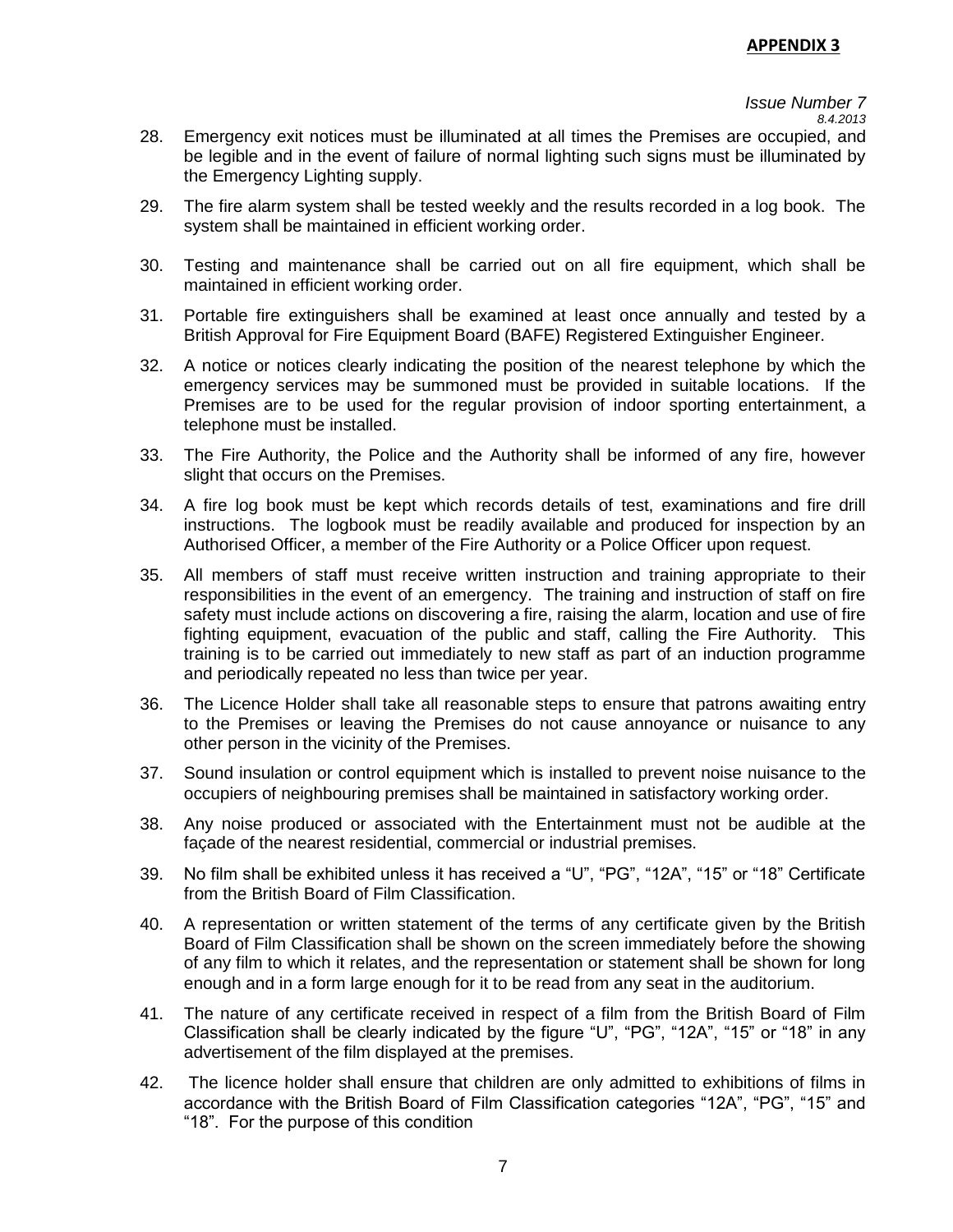# *Issue Number 7*

*8.4.2013* 

- 28. Emergency exit notices must be illuminated at all times the Premises are occupied, and be legible and in the event of failure of normal lighting such signs must be illuminated by the Emergency Lighting supply.
- 29. The fire alarm system shall be tested weekly and the results recorded in a log book. The system shall be maintained in efficient working order.
- 30. Testing and maintenance shall be carried out on all fire equipment, which shall be maintained in efficient working order.
- 31. Portable fire extinguishers shall be examined at least once annually and tested by a British Approval for Fire Equipment Board (BAFE) Registered Extinguisher Engineer.
- 32. A notice or notices clearly indicating the position of the nearest telephone by which the emergency services may be summoned must be provided in suitable locations. If the Premises are to be used for the regular provision of indoor sporting entertainment, a telephone must be installed.
- 33. The Fire Authority, the Police and the Authority shall be informed of any fire, however slight that occurs on the Premises.
- 34. A fire log book must be kept which records details of test, examinations and fire drill instructions. The logbook must be readily available and produced for inspection by an Authorised Officer, a member of the Fire Authority or a Police Officer upon request.
- 35. All members of staff must receive written instruction and training appropriate to their responsibilities in the event of an emergency. The training and instruction of staff on fire safety must include actions on discovering a fire, raising the alarm, location and use of fire fighting equipment, evacuation of the public and staff, calling the Fire Authority. This training is to be carried out immediately to new staff as part of an induction programme and periodically repeated no less than twice per year.
- 36. The Licence Holder shall take all reasonable steps to ensure that patrons awaiting entry to the Premises or leaving the Premises do not cause annoyance or nuisance to any other person in the vicinity of the Premises.
- 37. Sound insulation or control equipment which is installed to prevent noise nuisance to the occupiers of neighbouring premises shall be maintained in satisfactory working order.
- 38. Any noise produced or associated with the Entertainment must not be audible at the façade of the nearest residential, commercial or industrial premises.
- 39. No film shall be exhibited unless it has received a "U", "PG", "12A", "15" or "18" Certificate from the British Board of Film Classification.
- 40. A representation or written statement of the terms of any certificate given by the British Board of Film Classification shall be shown on the screen immediately before the showing of any film to which it relates, and the representation or statement shall be shown for long enough and in a form large enough for it to be read from any seat in the auditorium.
- 41. The nature of any certificate received in respect of a film from the British Board of Film Classification shall be clearly indicated by the figure "U", "PG", "12A", "15" or "18" in any advertisement of the film displayed at the premises.
- 42. The licence holder shall ensure that children are only admitted to exhibitions of films in accordance with the British Board of Film Classification categories "12A", "PG", "15" and "18". For the purpose of this condition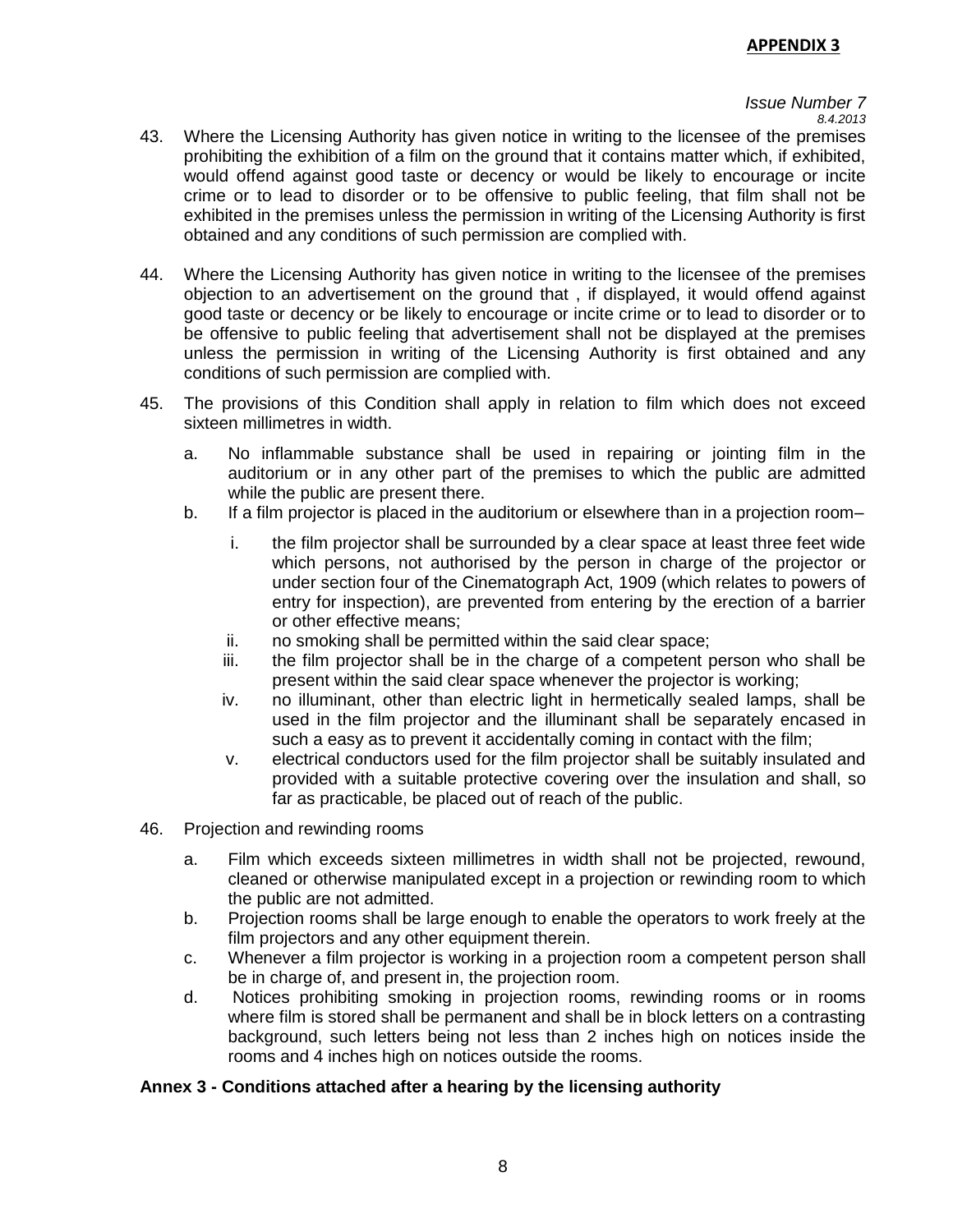#### *Issue Number 7 8.4.2013*

- 43. Where the Licensing Authority has given notice in writing to the licensee of the premises prohibiting the exhibition of a film on the ground that it contains matter which, if exhibited, would offend against good taste or decency or would be likely to encourage or incite crime or to lead to disorder or to be offensive to public feeling, that film shall not be exhibited in the premises unless the permission in writing of the Licensing Authority is first obtained and any conditions of such permission are complied with.
- 44. Where the Licensing Authority has given notice in writing to the licensee of the premises objection to an advertisement on the ground that , if displayed, it would offend against good taste or decency or be likely to encourage or incite crime or to lead to disorder or to be offensive to public feeling that advertisement shall not be displayed at the premises unless the permission in writing of the Licensing Authority is first obtained and any conditions of such permission are complied with.
- 45. The provisions of this Condition shall apply in relation to film which does not exceed sixteen millimetres in width.
	- a. No inflammable substance shall be used in repairing or jointing film in the auditorium or in any other part of the premises to which the public are admitted while the public are present there.
	- b. If a film projector is placed in the auditorium or elsewhere than in a projection room–
		- i. the film projector shall be surrounded by a clear space at least three feet wide which persons, not authorised by the person in charge of the projector or under section four of the Cinematograph Act, 1909 (which relates to powers of entry for inspection), are prevented from entering by the erection of a barrier or other effective means;
		- ii. no smoking shall be permitted within the said clear space;
		- iii. the film projector shall be in the charge of a competent person who shall be present within the said clear space whenever the projector is working;
		- iv. no illuminant, other than electric light in hermetically sealed lamps, shall be used in the film projector and the illuminant shall be separately encased in such a easy as to prevent it accidentally coming in contact with the film;
		- v. electrical conductors used for the film projector shall be suitably insulated and provided with a suitable protective covering over the insulation and shall, so far as practicable, be placed out of reach of the public.
- 46. Projection and rewinding rooms
	- a. Film which exceeds sixteen millimetres in width shall not be projected, rewound, cleaned or otherwise manipulated except in a projection or rewinding room to which the public are not admitted.
	- b. Projection rooms shall be large enough to enable the operators to work freely at the film projectors and any other equipment therein.
	- c. Whenever a film projector is working in a projection room a competent person shall be in charge of, and present in, the projection room.
	- d. Notices prohibiting smoking in projection rooms, rewinding rooms or in rooms where film is stored shall be permanent and shall be in block letters on a contrasting background, such letters being not less than 2 inches high on notices inside the rooms and 4 inches high on notices outside the rooms.

# **Annex 3 - Conditions attached after a hearing by the licensing authority**